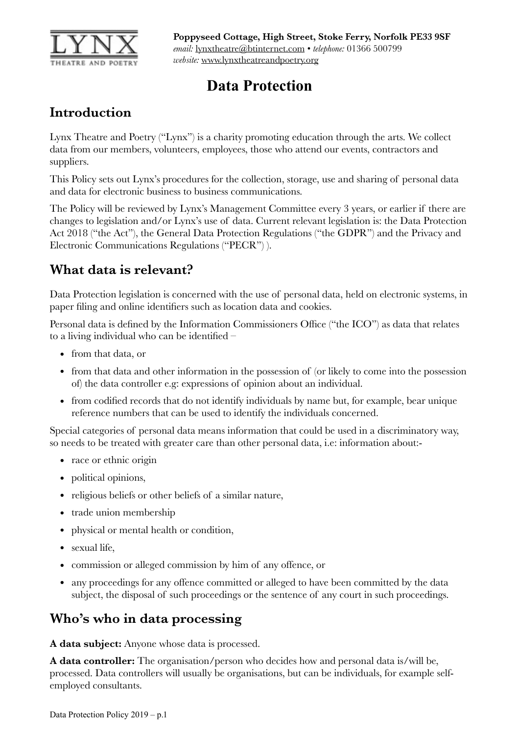

# **Data Protection**

# **Introduction**

Lynx Theatre and Poetry ("Lynx") is a charity promoting education through the arts. We collect data from our members, volunteers, employees, those who attend our events, contractors and suppliers.

This Policy sets out Lynx's procedures for the collection, storage, use and sharing of personal data and data for electronic business to business communications.

The Policy will be reviewed by Lynx's Management Committee every 3 years, or earlier if there are changes to legislation and/or Lynx's use of data. Current relevant legislation is: the Data Protection Act 2018 ("the Act"), the General Data Protection Regulations ("the GDPR") and the Privacy and Electronic Communications Regulations ("PECR") ).

# **What data is relevant?**

Data Protection legislation is concerned with the use of personal data, held on electronic systems, in paper filing and online identifiers such as location data and cookies.

Personal data is defined by the Information Commissioners Office ("the ICO") as data that relates to a living individual who can be identified –

- from that data, or
- from that data and other information in the possession of (or likely to come into the possession of) the data controller e.g: expressions of opinion about an individual.
- from codified records that do not identify individuals by name but, for example, bear unique reference numbers that can be used to identify the individuals concerned.

Special categories of personal data means information that could be used in a discriminatory way, so needs to be treated with greater care than other personal data, i.e: information about:-

- race or ethnic origin
- political opinions,
- religious beliefs or other beliefs of a similar nature,
- trade union membership
- physical or mental health or condition,
- sexual life,
- commission or alleged commission by him of any offence, or
- any proceedings for any offence committed or alleged to have been committed by the data subject, the disposal of such proceedings or the sentence of any court in such proceedings.

# **Who's who in data processing**

**A data subject:** Anyone whose data is processed.

**A data controller:** The organisation/person who decides how and personal data is/will be, processed. Data controllers will usually be organisations, but can be individuals, for example selfemployed consultants.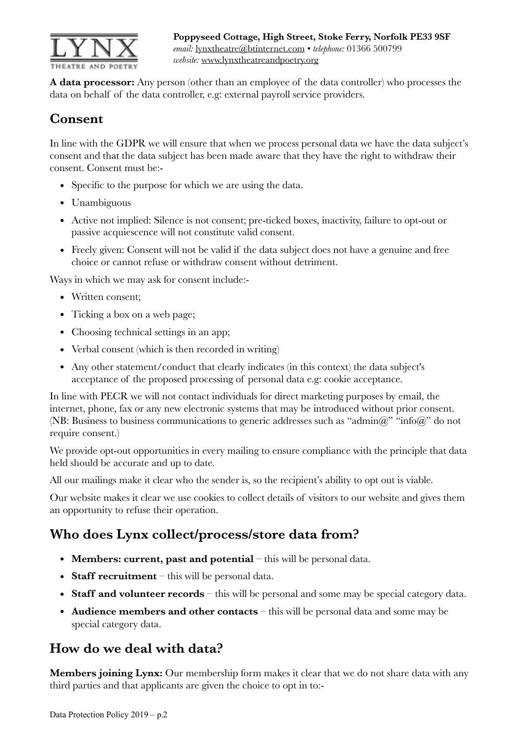

**A data processor:** Any person (other than an employee of the data controller) who processes the data on behalf of the data controller, e.g: external payroll service providers.

# **Consent**

In line with the GDPR we will ensure that when we process personal data we have the data subject's consent and that the data subject has been made aware that they have the right to withdraw their consent. Consent must be:-

- Specific to the purpose for which we are using the data.
- Unambiguous
- Active not implied: Silence is not consent; pre-ticked boxes, inactivity, failure to opt-out or passive acquiescence will not constitute valid consent.
- Freely given: Consent will not be valid if the data subject does not have a genuine and free choice or cannot refuse or withdraw consent without detriment.

Ways in which we may ask for consent include:-

- Written consent;
- Ticking a box on a web page;
- Choosing technical settings in an app;
- Verbal consent (which is then recorded in writing)
- Any other statement/conduct that clearly indicates (in this context) the data subject's acceptance of the proposed processing of personal data e.g: cookie acceptance.

In line with PECR we will not contact individuals for direct marketing purposes by email, the internet, phone, fax or any new electronic systems that may be introduced without prior consent. (NB: Business to business communications to generic addresses such as "admin@" "info@" do not require consent.)

We provide opt-out opportunities in every mailing to ensure compliance with the principle that data held should be accurate and up to date.

All our mailings make it clear who the sender is, so the recipient's ability to opt out is viable.

Our website makes it clear we use cookies to collect details of visitors to our website and gives them an opportunity to refuse their operation.

### **Who does Lynx collect/process/store data from?**

- **Members: current, past and potential** this will be personal data.
- **Staff recruitment** this will be personal data.
- **Staff and volunteer records** this will be personal and some may be special category data.
- **Audience members and other contacts** this will be personal data and some may be special category data.

### **How do we deal with data?**

**Members joining Lynx:** Our membership form makes it clear that we do not share data with any third parties and that applicants are given the choice to opt in to:-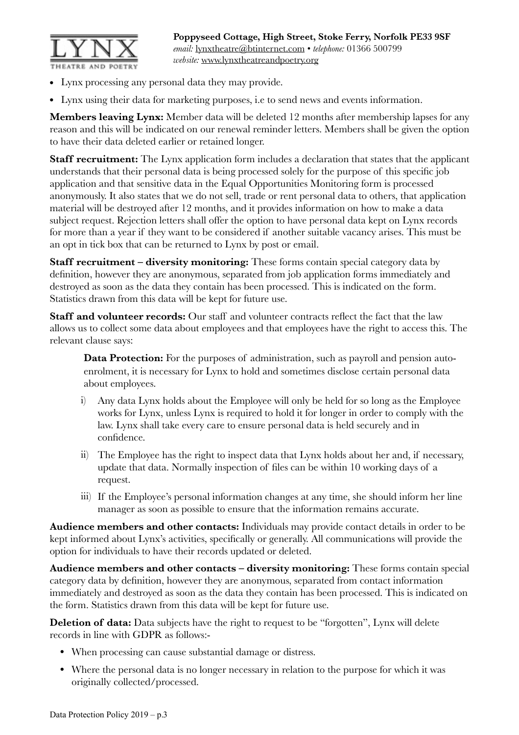

- Lynx processing any personal data they may provide.
- Lynx using their data for marketing purposes, i.e to send news and events information.

**Members leaving Lynx:** Member data will be deleted 12 months after membership lapses for any reason and this will be indicated on our renewal reminder letters. Members shall be given the option to have their data deleted earlier or retained longer.

**Staff recruitment:** The Lynx application form includes a declaration that states that the applicant understands that their personal data is being processed solely for the purpose of this specific job application and that sensitive data in the Equal Opportunities Monitoring form is processed anonymously. It also states that we do not sell, trade or rent personal data to others, that application material will be destroyed after 12 months, and it provides information on how to make a data subject request. Rejection letters shall offer the option to have personal data kept on Lynx records for more than a year if they want to be considered if another suitable vacancy arises. This must be an opt in tick box that can be returned to Lynx by post or email.

**Staff recruitment – diversity monitoring:** These forms contain special category data by definition, however they are anonymous, separated from job application forms immediately and destroyed as soon as the data they contain has been processed. This is indicated on the form. Statistics drawn from this data will be kept for future use.

**Staff and volunteer records:** Our staff and volunteer contracts reflect the fact that the law allows us to collect some data about employees and that employees have the right to access this. The relevant clause says:

**Data Protection:** For the purposes of administration, such as payroll and pension autoenrolment, it is necessary for Lynx to hold and sometimes disclose certain personal data about employees.

- i) Any data Lynx holds about the Employee will only be held for so long as the Employee works for Lynx, unless Lynx is required to hold it for longer in order to comply with the law. Lynx shall take every care to ensure personal data is held securely and in confidence.
- ii) The Employee has the right to inspect data that Lynx holds about her and, if necessary, update that data. Normally inspection of files can be within 10 working days of a request.
- iii) If the Employee's personal information changes at any time, she should inform her line manager as soon as possible to ensure that the information remains accurate.

**Audience members and other contacts:** Individuals may provide contact details in order to be kept informed about Lynx's activities, specifically or generally. All communications will provide the option for individuals to have their records updated or deleted.

**Audience members and other contacts – diversity monitoring:** These forms contain special category data by definition, however they are anonymous, separated from contact information immediately and destroyed as soon as the data they contain has been processed. This is indicated on the form. Statistics drawn from this data will be kept for future use.

**Deletion of data:** Data subjects have the right to request to be "forgotten", Lynx will delete records in line with GDPR as follows:-

- When processing can cause substantial damage or distress.
- Where the personal data is no longer necessary in relation to the purpose for which it was originally collected/processed.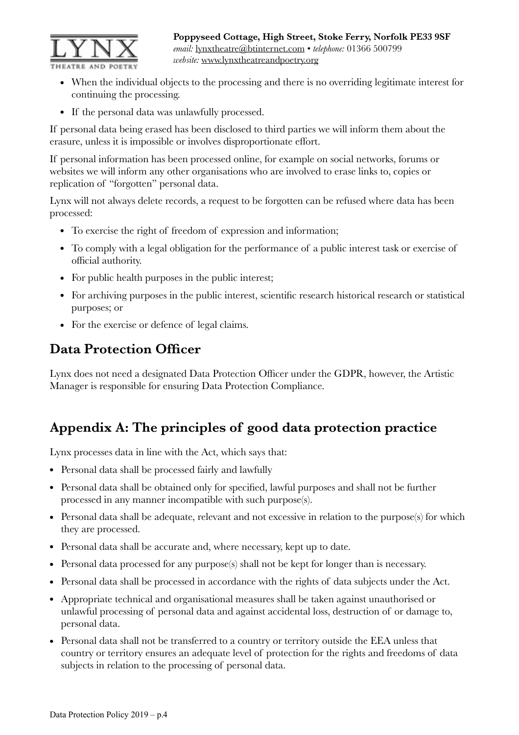

**Poppyseed Cottage, High Street, Stoke Ferry, Norfolk PE33 9SF**  *email:* [lynxtheatre@btinternet.com](mailto:lynxtheatre@btinternet.com) • *telephone:* 01366 500799 *website:* [www.lynxtheatreandpoetry.org](http://www.lynxtheatreandpoetry.org)

- When the individual objects to the processing and there is no overriding legitimate interest for continuing the processing.
- If the personal data was unlawfully processed.

If personal data being erased has been disclosed to third parties we will inform them about the erasure, unless it is impossible or involves disproportionate effort.

If personal information has been processed online, for example on social networks, forums or websites we will inform any other organisations who are involved to erase links to, copies or replication of "forgotten" personal data.

Lynx will not always delete records, a request to be forgotten can be refused where data has been processed:

- To exercise the right of freedom of expression and information;
- To comply with a legal obligation for the performance of a public interest task or exercise of official authority.
- For public health purposes in the public interest;
- For archiving purposes in the public interest, scientific research historical research or statistical purposes; or
- For the exercise or defence of legal claims.

# **Data Protection Officer**

Lynx does not need a designated Data Protection Officer under the GDPR, however, the Artistic Manager is responsible for ensuring Data Protection Compliance.

# **Appendix A: The principles of good data protection practice**

Lynx processes data in line with the Act, which says that:

- Personal data shall be processed fairly and lawfully
- Personal data shall be obtained only for specified, lawful purposes and shall not be further processed in any manner incompatible with such purpose(s).
- Personal data shall be adequate, relevant and not excessive in relation to the purpose(s) for which they are processed.
- Personal data shall be accurate and, where necessary, kept up to date.
- Personal data processed for any purpose(s) shall not be kept for longer than is necessary.
- Personal data shall be processed in accordance with the rights of data subjects under the Act.
- Appropriate technical and organisational measures shall be taken against unauthorised or unlawful processing of personal data and against accidental loss, destruction of or damage to, personal data.
- Personal data shall not be transferred to a country or territory outside the EEA unless that country or territory ensures an adequate level of protection for the rights and freedoms of data subjects in relation to the processing of personal data.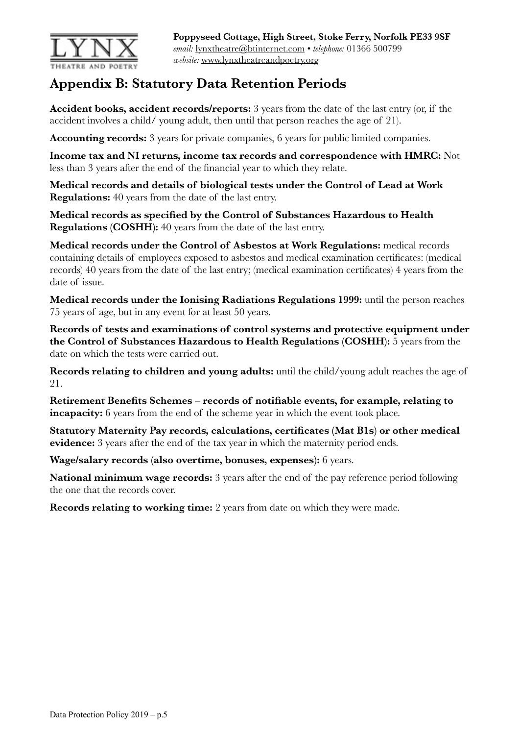

# **Appendix B: Statutory Data Retention Periods**

**Accident books, accident records/reports:** 3 years from the date of the last entry (or, if the accident involves a child/ young adult, then until that person reaches the age of 21).

**Accounting records:** 3 years for private companies, 6 years for public limited companies.

**Income tax and NI returns, income tax records and correspondence with HMRC:** Not less than 3 years after the end of the financial year to which they relate.

**Medical records and details of biological tests under the Control of Lead at Work Regulations:** 40 years from the date of the last entry.

**Medical records as specified by the Control of Substances Hazardous to Health Regulations (COSHH):** 40 years from the date of the last entry.

**Medical records under the Control of Asbestos at Work Regulations:** medical records containing details of employees exposed to asbestos and medical examination certificates: (medical records) 40 years from the date of the last entry; (medical examination certificates) 4 years from the date of issue.

**Medical records under the Ionising Radiations Regulations 1999:** until the person reaches 75 years of age, but in any event for at least 50 years.

**Records of tests and examinations of control systems and protective equipment under the Control of Substances Hazardous to Health Regulations (COSHH):** 5 years from the date on which the tests were carried out.

**Records relating to children and young adults:** until the child/young adult reaches the age of 21.

**Retirement Benefits Schemes – records of notifiable events, for example, relating to incapacity:** 6 years from the end of the scheme year in which the event took place.

**Statutory Maternity Pay records, calculations, certificates (Mat B1s) or other medical evidence:** 3 years after the end of the tax year in which the maternity period ends.

**Wage/salary records (also overtime, bonuses, expenses):** 6 years.

**National minimum wage records:** 3 years after the end of the pay reference period following the one that the records cover.

**Records relating to working time:** 2 years from date on which they were made.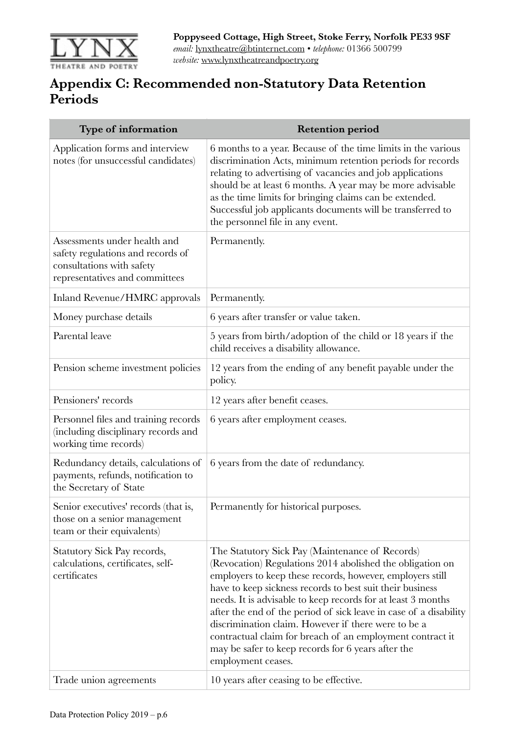

# **Appendix C: Recommended non-Statutory Data Retention Periods**

| Type of information                                                                                                              | <b>Retention period</b>                                                                                                                                                                                                                                                                                                                                                                                                                                                                                                                                                     |
|----------------------------------------------------------------------------------------------------------------------------------|-----------------------------------------------------------------------------------------------------------------------------------------------------------------------------------------------------------------------------------------------------------------------------------------------------------------------------------------------------------------------------------------------------------------------------------------------------------------------------------------------------------------------------------------------------------------------------|
| Application forms and interview<br>notes (for unsuccessful candidates)                                                           | 6 months to a year. Because of the time limits in the various<br>discrimination Acts, minimum retention periods for records<br>relating to advertising of vacancies and job applications<br>should be at least 6 months. A year may be more advisable<br>as the time limits for bringing claims can be extended.<br>Successful job applicants documents will be transferred to<br>the personnel file in any event.                                                                                                                                                          |
| Assessments under health and<br>safety regulations and records of<br>consultations with safety<br>representatives and committees | Permanently.                                                                                                                                                                                                                                                                                                                                                                                                                                                                                                                                                                |
| Inland Revenue/HMRC approvals                                                                                                    | Permanently.                                                                                                                                                                                                                                                                                                                                                                                                                                                                                                                                                                |
| Money purchase details                                                                                                           | 6 years after transfer or value taken.                                                                                                                                                                                                                                                                                                                                                                                                                                                                                                                                      |
| Parental leave                                                                                                                   | 5 years from birth/adoption of the child or 18 years if the<br>child receives a disability allowance.                                                                                                                                                                                                                                                                                                                                                                                                                                                                       |
| Pension scheme investment policies                                                                                               | 12 years from the ending of any benefit payable under the<br>policy.                                                                                                                                                                                                                                                                                                                                                                                                                                                                                                        |
| Pensioners' records                                                                                                              | 12 years after benefit ceases.                                                                                                                                                                                                                                                                                                                                                                                                                                                                                                                                              |
| Personnel files and training records<br>(including disciplinary records and<br>working time records)                             | 6 years after employment ceases.                                                                                                                                                                                                                                                                                                                                                                                                                                                                                                                                            |
| Redundancy details, calculations of<br>payments, refunds, notification to<br>the Secretary of State                              | 6 years from the date of redundancy.                                                                                                                                                                                                                                                                                                                                                                                                                                                                                                                                        |
| Senior executives' records (that is,<br>those on a senior management<br>team or their equivalents)                               | Permanently for historical purposes.                                                                                                                                                                                                                                                                                                                                                                                                                                                                                                                                        |
| Statutory Sick Pay records,<br>calculations, certificates, self-<br>certificates                                                 | The Statutory Sick Pay (Maintenance of Records)<br>(Revocation) Regulations 2014 abolished the obligation on<br>employers to keep these records, however, employers still<br>have to keep sickness records to best suit their business<br>needs. It is advisable to keep records for at least 3 months<br>after the end of the period of sick leave in case of a disability<br>discrimination claim. However if there were to be a<br>contractual claim for breach of an employment contract it<br>may be safer to keep records for 6 years after the<br>employment ceases. |
| Trade union agreements                                                                                                           | 10 years after ceasing to be effective.                                                                                                                                                                                                                                                                                                                                                                                                                                                                                                                                     |